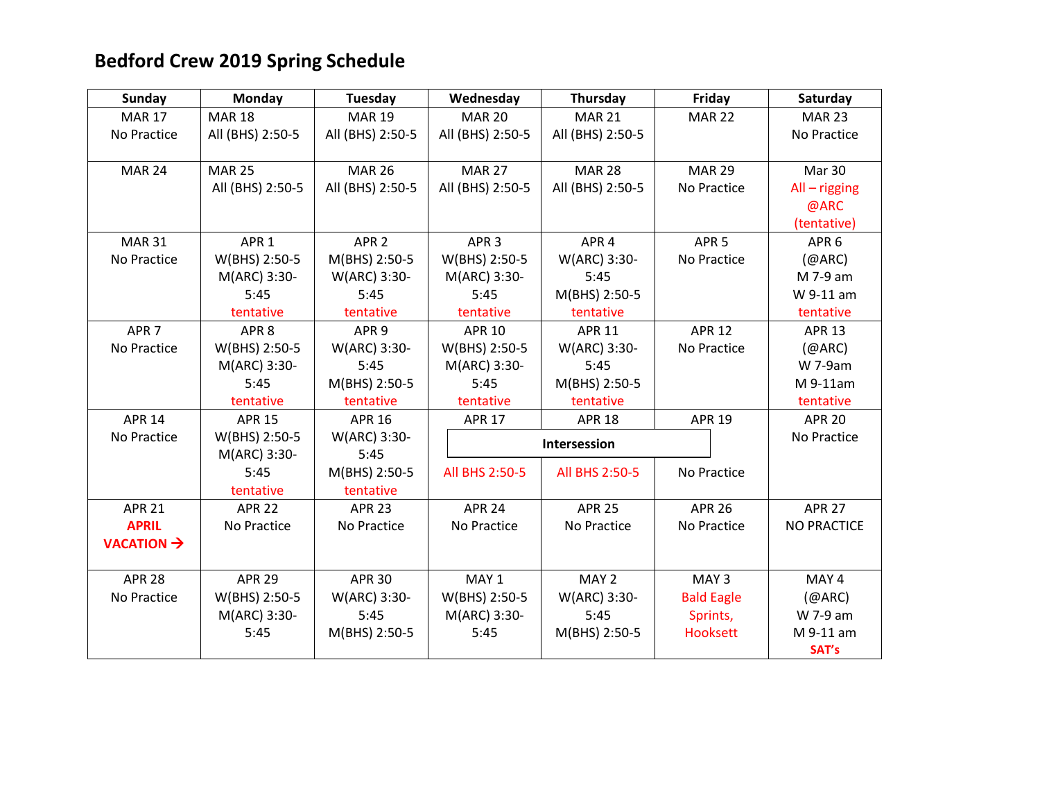## **Bedford Crew 2019 Spring Schedule**

| <b>Sunday</b>                            | <b>Monday</b>    | <b>Tuesday</b>   | Wednesday        | Thursday         | Friday            | Saturday           |
|------------------------------------------|------------------|------------------|------------------|------------------|-------------------|--------------------|
| <b>MAR 17</b>                            | <b>MAR 18</b>    | <b>MAR 19</b>    | <b>MAR 20</b>    | <b>MAR 21</b>    | <b>MAR 22</b>     | <b>MAR 23</b>      |
| No Practice                              | All (BHS) 2:50-5 | All (BHS) 2:50-5 | All (BHS) 2:50-5 | All (BHS) 2:50-5 |                   | No Practice        |
|                                          |                  |                  |                  |                  |                   |                    |
| <b>MAR 24</b>                            | <b>MAR 25</b>    | <b>MAR 26</b>    | <b>MAR 27</b>    | <b>MAR 28</b>    | <b>MAR 29</b>     | Mar 30             |
|                                          | All (BHS) 2:50-5 | All (BHS) 2:50-5 | All (BHS) 2:50-5 | All (BHS) 2:50-5 | No Practice       | $All - rigging$    |
|                                          |                  |                  |                  |                  |                   | @ARC               |
|                                          |                  |                  |                  |                  |                   | (tentative)        |
| <b>MAR 31</b>                            | APR <sub>1</sub> | APR <sub>2</sub> | APR <sub>3</sub> | APR <sub>4</sub> | APR <sub>5</sub>  | APR <sub>6</sub>   |
| No Practice                              | W(BHS) 2:50-5    | M(BHS) 2:50-5    | W(BHS) 2:50-5    | W(ARC) 3:30-     | No Practice       | (QARC)             |
|                                          | M(ARC) 3:30-     | W(ARC) 3:30-     | M(ARC) 3:30-     | 5:45             |                   | M 7-9 am           |
|                                          | 5:45             | 5:45             | 5:45             | M(BHS) 2:50-5    |                   | W 9-11 am          |
|                                          | tentative        | tentative        | tentative        | tentative        |                   | tentative          |
| APR <sub>7</sub>                         | APR <sub>8</sub> | APR <sub>9</sub> | <b>APR 10</b>    | <b>APR 11</b>    | <b>APR 12</b>     | <b>APR 13</b>      |
| No Practice                              | W(BHS) 2:50-5    | W(ARC) 3:30-     | W(BHS) 2:50-5    | W(ARC) 3:30-     | No Practice       | (QARC)             |
|                                          | M(ARC) 3:30-     | 5:45             | M(ARC) 3:30-     | 5:45             |                   | W 7-9am            |
|                                          | 5:45             | M(BHS) 2:50-5    | 5:45             | M(BHS) 2:50-5    |                   | M 9-11am           |
|                                          | tentative        | tentative        | tentative        | tentative        |                   | tentative          |
| <b>APR 14</b>                            | <b>APR 15</b>    | <b>APR 16</b>    | <b>APR 17</b>    | <b>APR 18</b>    | <b>APR 19</b>     | <b>APR 20</b>      |
| No Practice                              | W(BHS) 2:50-5    | W(ARC) 3:30-     |                  | Intersession     |                   | No Practice        |
|                                          | M(ARC) 3:30-     | 5:45             |                  |                  |                   |                    |
|                                          | 5:45             | M(BHS) 2:50-5    | All BHS 2:50-5   | All BHS 2:50-5   | No Practice       |                    |
|                                          | tentative        | tentative        |                  |                  |                   |                    |
| <b>APR 21</b>                            | <b>APR 22</b>    | <b>APR 23</b>    | <b>APR 24</b>    | <b>APR 25</b>    | <b>APR 26</b>     | <b>APR 27</b>      |
| <b>APRIL</b>                             | No Practice      | No Practice      | No Practice      | No Practice      | No Practice       | <b>NO PRACTICE</b> |
| <b>VACATION <math>\rightarrow</math></b> |                  |                  |                  |                  |                   |                    |
|                                          |                  |                  |                  |                  |                   |                    |
| <b>APR 28</b>                            | <b>APR 29</b>    | <b>APR 30</b>    | MAY 1            | MAY 2            | MAY <sub>3</sub>  | MAY 4              |
| No Practice                              | W(BHS) 2:50-5    | W(ARC) 3:30-     | W(BHS) 2:50-5    | W(ARC) 3:30-     | <b>Bald Eagle</b> | (QARC)             |
|                                          | M(ARC) 3:30-     | 5:45             | M(ARC) 3:30-     | 5:45             | Sprints,          | W 7-9 am           |
|                                          | 5:45             | M(BHS) 2:50-5    | 5:45             | M(BHS) 2:50-5    | Hooksett          | M 9-11 am          |
|                                          |                  |                  |                  |                  |                   | SAT's              |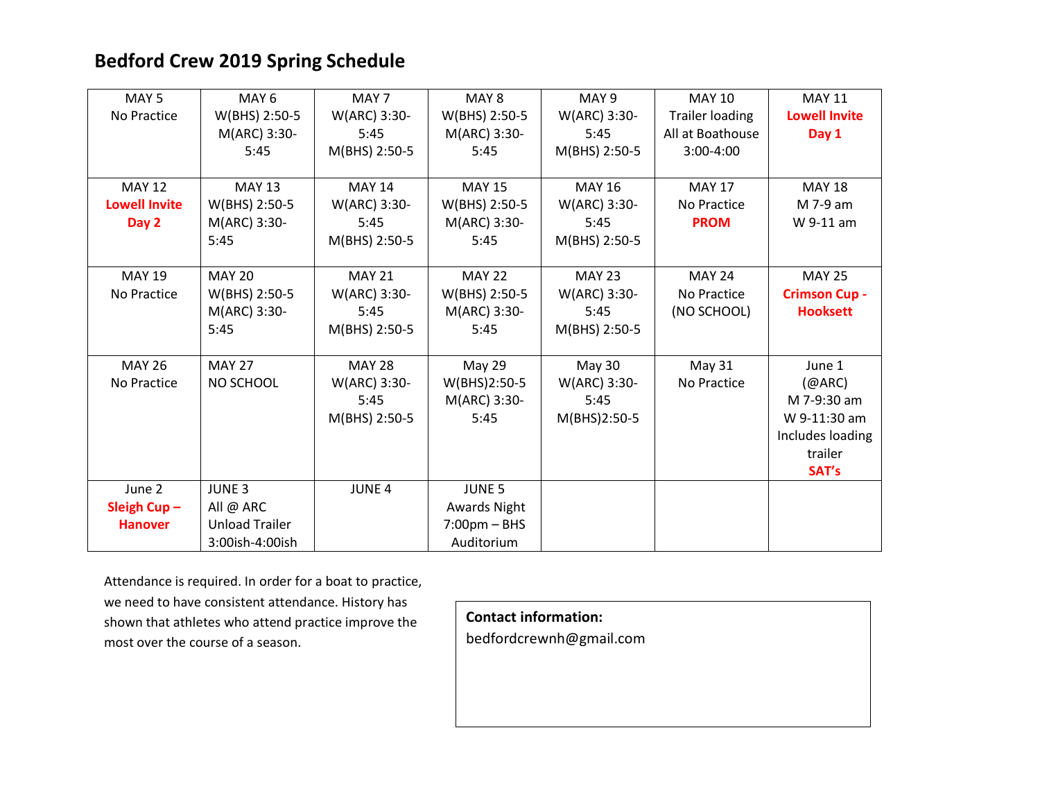## **Bedford Crew 2019 Spring Schedule**

| MAY <sub>5</sub>     | MAY <sub>6</sub>      | MAY 7         | MAY 8                         | MAY <sub>9</sub> | <b>MAY 10</b>          | <b>MAY 11</b>        |
|----------------------|-----------------------|---------------|-------------------------------|------------------|------------------------|----------------------|
| No Practice          | W(BHS) 2:50-5         | W(ARC) 3:30-  | W(BHS) 2:50-5                 | W(ARC) 3:30-     | <b>Trailer loading</b> | <b>Lowell Invite</b> |
|                      | M(ARC) 3:30-          | 5:45          | M(ARC) 3:30-                  | 5:45             | All at Boathouse       | Day 1                |
|                      | 5:45                  | M(BHS) 2:50-5 | 5:45                          | M(BHS) 2:50-5    | $3:00-4:00$            |                      |
|                      |                       |               |                               |                  |                        |                      |
| <b>MAY 12</b>        | <b>MAY 13</b>         | <b>MAY 14</b> | <b>MAY 15</b>                 | <b>MAY 16</b>    | <b>MAY 17</b>          | <b>MAY 18</b>        |
| <b>Lowell Invite</b> | W(BHS) 2:50-5         | W(ARC) 3:30-  | W(BHS) 2:50-5                 | W(ARC) 3:30-     | No Practice            | M 7-9 am             |
| Day 2                | M(ARC) 3:30-          | 5:45          | M(ARC) 3:30-                  | 5:45             | <b>PROM</b>            | W 9-11 am            |
|                      | 5:45                  | M(BHS) 2:50-5 | 5:45                          | M(BHS) 2:50-5    |                        |                      |
|                      |                       |               |                               |                  |                        |                      |
| <b>MAY 19</b>        | <b>MAY 20</b>         | <b>MAY 21</b> | <b>MAY 22</b>                 | <b>MAY 23</b>    | <b>MAY 24</b>          | <b>MAY 25</b>        |
| No Practice          | W(BHS) 2:50-5         | W(ARC) 3:30-  | W(BHS) 2:50-5                 | W(ARC) 3:30-     | No Practice            | <b>Crimson Cup -</b> |
|                      | M(ARC) 3:30-          | 5:45          | M(ARC) 3:30-                  | 5:45             | (NO SCHOOL)            | <b>Hooksett</b>      |
|                      | 5:45                  | M(BHS) 2:50-5 | 5:45                          | M(BHS) 2:50-5    |                        |                      |
|                      |                       |               |                               |                  |                        |                      |
| <b>MAY 26</b>        | <b>MAY 27</b>         | <b>MAY 28</b> | May 29                        | May 30           | May 31                 | June 1               |
| No Practice          | NO SCHOOL             | W(ARC) 3:30-  | W(BHS)2:50-5                  | W(ARC) 3:30-     | No Practice            | (QARC)               |
|                      |                       | 5:45          | M(ARC) 3:30-                  | 5:45             |                        | M 7-9:30 am          |
|                      |                       | M(BHS) 2:50-5 | 5:45                          | M(BHS)2:50-5     |                        | W 9-11:30 am         |
|                      |                       |               |                               |                  |                        | Includes loading     |
|                      |                       |               |                               |                  |                        | trailer              |
|                      |                       |               |                               |                  |                        | SAT's                |
| June 2               | <b>JUNE 3</b>         | <b>JUNE 4</b> | JUNE <sub>5</sub>             |                  |                        |                      |
| Sleigh $Cup -$       | All $@$ ARC           |               | <b>Awards Night</b>           |                  |                        |                      |
| <b>Hanover</b>       | <b>Unload Trailer</b> |               | $7:00 \text{pm} - \text{BHS}$ |                  |                        |                      |
|                      | 3:00ish-4:00ish       |               | Auditorium                    |                  |                        |                      |

Attendance is required. In order for a boat to practice, we need to have consistent attendance. History has shown that athletes who attend practice improve the most over the course of a season.

**Contact information:**

bedfordcrewnh@gmail.com